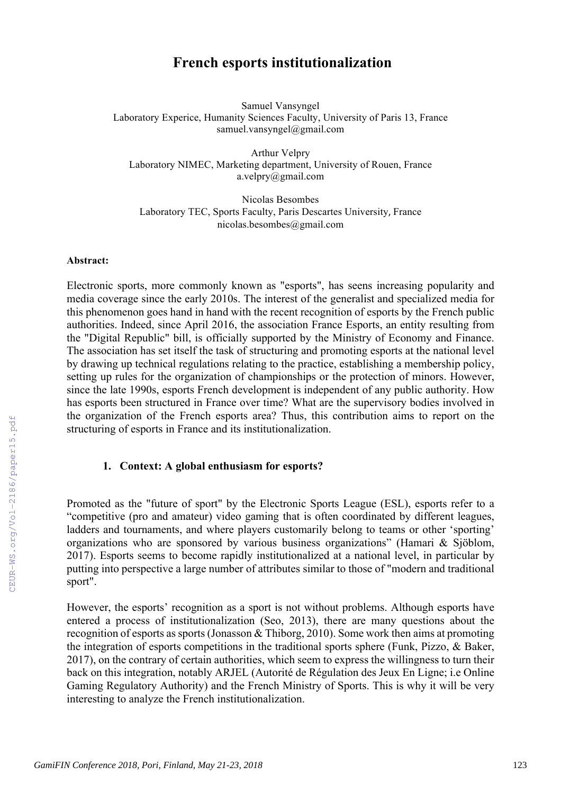# **French esports institutionalization**

Samuel Vansyngel Laboratory Experice, Humanity Sciences Faculty, University of Paris 13, France samuel.vansyngel@gmail.com

Arthur Velpry Laboratory NIMEC, Marketing department, University of Rouen, France a.velpry@gmail.com

Nicolas Besombes Laboratory TEC, Sports Faculty, Paris Descartes University, France nicolas.besombes@gmail.com

#### **Abstract:**

Electronic sports, more commonly known as "esports", has seens increasing popularity and media coverage since the early 2010s. The interest of the generalist and specialized media for this phenomenon goes hand in hand with the recent recognition of esports by the French public authorities. Indeed, since April 2016, the association France Esports, an entity resulting from the "Digital Republic" bill, is officially supported by the Ministry of Economy and Finance. The association has set itself the task of structuring and promoting esports at the national level by drawing up technical regulations relating to the practice, establishing a membership policy, setting up rules for the organization of championships or the protection of minors. However, since the late 1990s, esports French development is independent of any public authority. How has esports been structured in France over time? What are the supervisory bodies involved in the organization of the French esports area? Thus, this contribution aims to report on the structuring of esports in France and its institutionalization.

### **1. Context: A global enthusiasm for esports?**

Promoted as the "future of sport" by the Electronic Sports League (ESL), esports refer to a "competitive (pro and amateur) video gaming that is often coordinated by different leagues, ladders and tournaments, and where players customarily belong to teams or other 'sporting' organizations who are sponsored by various business organizations" (Hamari & Sjöblom, 2017). Esports seems to become rapidly institutionalized at a national level, in particular by putting into perspective a large number of attributes similar to those of "modern and traditional sport".

However, the esports' recognition as a sport is not without problems. Although esports have entered a process of institutionalization (Seo, 2013), there are many questions about the recognition of esports as sports (Jonasson & Thiborg, 2010). Some work then aims at promoting the integration of esports competitions in the traditional sports sphere (Funk, Pizzo, & Baker, 2017), on the contrary of certain authorities, which seem to express the willingness to turn their back on this integration, notably ARJEL (Autorité de Régulation des Jeux En Ligne; i.e Online Gaming Regulatory Authority) and the French Ministry of Sports. This is why it will be very interesting to analyze the French institutionalization.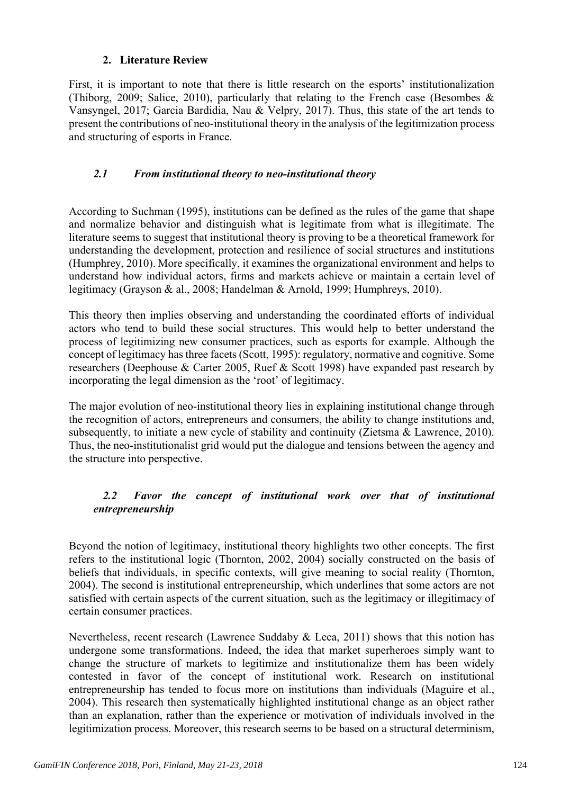# **2. Literature Review**

First, it is important to note that there is little research on the esports' institutionalization (Thiborg, 2009; Salice, 2010), particularly that relating to the French case (Besombes & Vansyngel, 2017; Garcia Bardidia, Nau & Velpry, 2017). Thus, this state of the art tends to present the contributions of neo-institutional theory in the analysis of the legitimization process and structuring of esports in France.

# *2.1 From institutional theory to neo-institutional theory*

According to Suchman (1995), institutions can be defined as the rules of the game that shape and normalize behavior and distinguish what is legitimate from what is illegitimate. The literature seems to suggest that institutional theory is proving to be a theoretical framework for understanding the development, protection and resilience of social structures and institutions (Humphrey, 2010). More specifically, it examines the organizational environment and helps to understand how individual actors, firms and markets achieve or maintain a certain level of legitimacy (Grayson & al., 2008; Handelman & Arnold, 1999; Humphreys, 2010).

This theory then implies observing and understanding the coordinated efforts of individual actors who tend to build these social structures. This would help to better understand the process of legitimizing new consumer practices, such as esports for example. Although the concept of legitimacy has three facets (Scott, 1995): regulatory, normative and cognitive. Some researchers (Deephouse & Carter 2005, Ruef & Scott 1998) have expanded past research by incorporating the legal dimension as the 'root' of legitimacy.

The major evolution of neo-institutional theory lies in explaining institutional change through the recognition of actors, entrepreneurs and consumers, the ability to change institutions and, subsequently, to initiate a new cycle of stability and continuity (Zietsma & Lawrence, 2010). Thus, the neo-institutionalist grid would put the dialogue and tensions between the agency and the structure into perspective.

# *2.2 Favor the concept of institutional work over that of institutional entrepreneurship*

Beyond the notion of legitimacy, institutional theory highlights two other concepts. The first refers to the institutional logic (Thornton, 2002, 2004) socially constructed on the basis of beliefs that individuals, in specific contexts, will give meaning to social reality (Thornton, 2004). The second is institutional entrepreneurship, which underlines that some actors are not satisfied with certain aspects of the current situation, such as the legitimacy or illegitimacy of certain consumer practices.

Nevertheless, recent research (Lawrence Suddaby & Leca, 2011) shows that this notion has undergone some transformations. Indeed, the idea that market superheroes simply want to change the structure of markets to legitimize and institutionalize them has been widely contested in favor of the concept of institutional work. Research on institutional entrepreneurship has tended to focus more on institutions than individuals (Maguire et al., 2004). This research then systematically highlighted institutional change as an object rather than an explanation, rather than the experience or motivation of individuals involved in the legitimization process. Moreover, this research seems to be based on a structural determinism,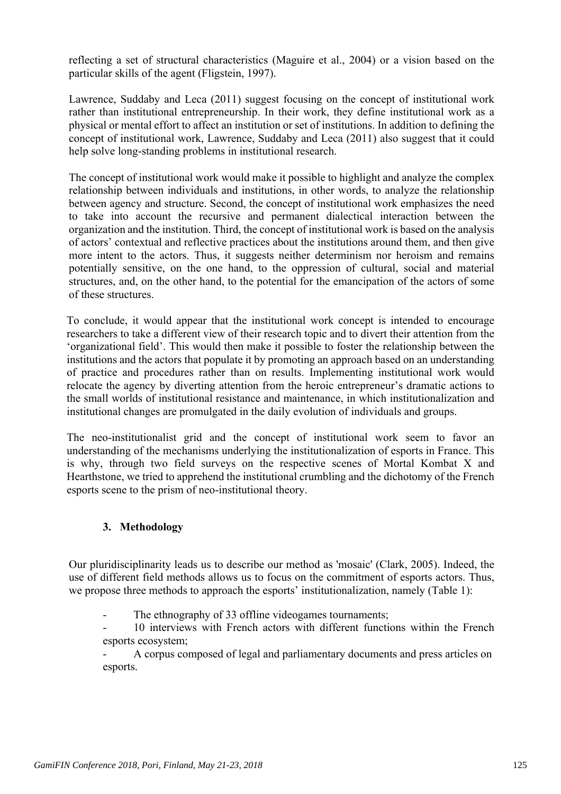reflecting a set of structural characteristics (Maguire et al., 2004) or a vision based on the particular skills of the agent (Fligstein, 1997).

Lawrence, Suddaby and Leca (2011) suggest focusing on the concept of institutional work rather than institutional entrepreneurship. In their work, they define institutional work as a physical or mental effort to affect an institution or set of institutions. In addition to defining the concept of institutional work, Lawrence, Suddaby and Leca (2011) also suggest that it could help solve long-standing problems in institutional research.

The concept of institutional work would make it possible to highlight and analyze the complex relationship between individuals and institutions, in other words, to analyze the relationship between agency and structure. Second, the concept of institutional work emphasizes the need to take into account the recursive and permanent dialectical interaction between the organization and the institution. Third, the concept of institutional work is based on the analysis of actors' contextual and reflective practices about the institutions around them, and then give more intent to the actors. Thus, it suggests neither determinism nor heroism and remains potentially sensitive, on the one hand, to the oppression of cultural, social and material structures, and, on the other hand, to the potential for the emancipation of the actors of some of these structures.

To conclude, it would appear that the institutional work concept is intended to encourage researchers to take a different view of their research topic and to divert their attention from the 'organizational field'. This would then make it possible to foster the relationship between the institutions and the actors that populate it by promoting an approach based on an understanding of practice and procedures rather than on results. Implementing institutional work would relocate the agency by diverting attention from the heroic entrepreneur's dramatic actions to the small worlds of institutional resistance and maintenance, in which institutionalization and institutional changes are promulgated in the daily evolution of individuals and groups.

The neo-institutionalist grid and the concept of institutional work seem to favor an understanding of the mechanisms underlying the institutionalization of esports in France. This is why, through two field surveys on the respective scenes of Mortal Kombat X and Hearthstone, we tried to apprehend the institutional crumbling and the dichotomy of the French esports scene to the prism of neo-institutional theory.

# **3. Methodology**

Our pluridisciplinarity leads us to describe our method as 'mosaic' (Clark, 2005). Indeed, the use of different field methods allows us to focus on the commitment of esports actors. Thus, we propose three methods to approach the esports' institutionalization, namely (Table 1):

The ethnography of 33 offline videogames tournaments;

- 10 interviews with French actors with different functions within the French esports ecosystem;

- A corpus composed of legal and parliamentary documents and press articles on esports.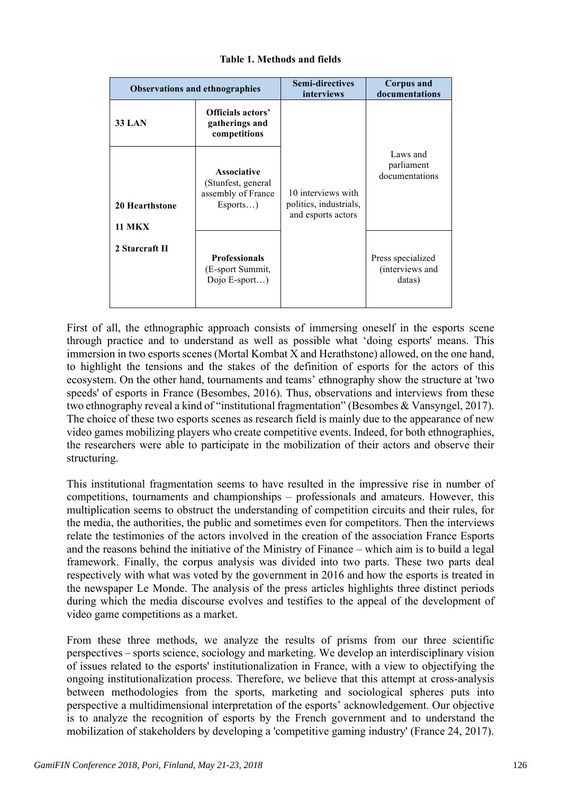| <b>Observations and ethnographies</b>  |                                                                        | <b>Semi-directives</b><br>interviews                               | <b>Corpus and</b><br>documentations            |  |
|----------------------------------------|------------------------------------------------------------------------|--------------------------------------------------------------------|------------------------------------------------|--|
| <b>33 LAN</b>                          | Officials actors'<br>gatherings and<br>competitions                    |                                                                    |                                                |  |
| <b>20 Hearthstone</b><br><b>11 MKX</b> | Associative<br>(Stunfest, general<br>assembly of France<br>$Esports$ ) | 10 interviews with<br>politics, industrials,<br>and esports actors | Laws and<br>parliament<br>documentations       |  |
| 2 Starcraft II                         | <b>Professionals</b><br>(E-sport Summit,<br>Dojo $E$ -sport)           |                                                                    | Press specialized<br>(interviews and<br>datas) |  |

### **Table 1. Methods and fields**

First of all, the ethnographic approach consists of immersing oneself in the esports scene through practice and to understand as well as possible what 'doing esports' means. This immersion in two esports scenes (Mortal Kombat X and Herathstone) allowed, on the one hand, to highlight the tensions and the stakes of the definition of esports for the actors of this ecosystem. On the other hand, tournaments and teams' ethnography show the structure at 'two speeds' of esports in France (Besombes, 2016). Thus, observations and interviews from these two ethnography reveal a kind of "institutional fragmentation" (Besombes & Vansyngel, 2017). The choice of these two esports scenes as research field is mainly due to the appearance of new video games mobilizing players who create competitive events. Indeed, for both ethnographies, the researchers were able to participate in the mobilization of their actors and observe their structuring.

This institutional fragmentation seems to have resulted in the impressive rise in number of competitions, tournaments and championships – professionals and amateurs. However, this multiplication seems to obstruct the understanding of competition circuits and their rules, for the media, the authorities, the public and sometimes even for competitors. Then the interviews relate the testimonies of the actors involved in the creation of the association France Esports and the reasons behind the initiative of the Ministry of Finance – which aim is to build a legal framework. Finally, the corpus analysis was divided into two parts. These two parts deal respectively with what was voted by the government in 2016 and how the esports is treated in the newspaper Le Monde. The analysis of the press articles highlights three distinct periods during which the media discourse evolves and testifies to the appeal of the development of video game competitions as a market.

From these three methods, we analyze the results of prisms from our three scientific perspectives – sports science, sociology and marketing. We develop an interdisciplinary vision of issues related to the esports' institutionalization in France, with a view to objectifying the ongoing institutionalization process. Therefore, we believe that this attempt at cross-analysis between methodologies from the sports, marketing and sociological spheres puts into perspective a multidimensional interpretation of the esports' acknowledgement. Our objective is to analyze the recognition of esports by the French government and to understand the mobilization of stakeholders by developing a 'competitive gaming industry' (France 24, 2017).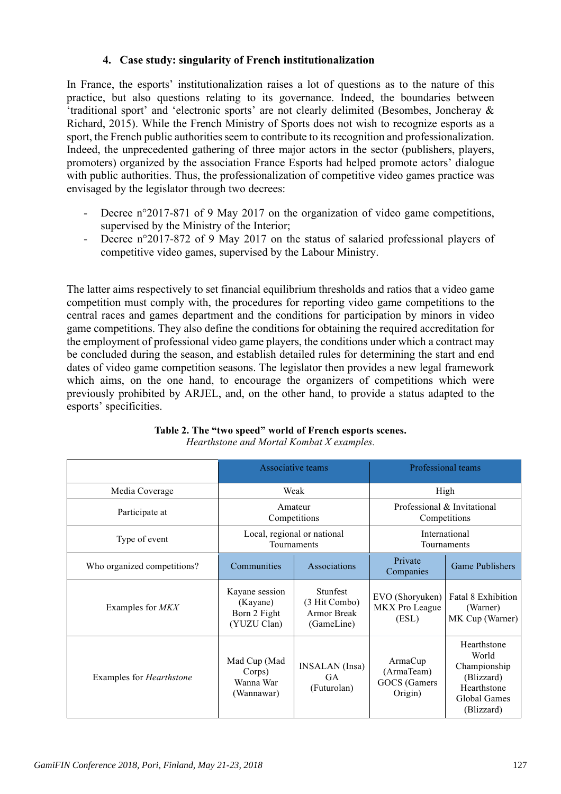# **4. Case study: singularity of French institutionalization**

In France, the esports' institutionalization raises a lot of questions as to the nature of this practice, but also questions relating to its governance. Indeed, the boundaries between 'traditional sport' and 'electronic sports' are not clearly delimited (Besombes, Joncheray & Richard, 2015). While the French Ministry of Sports does not wish to recognize esports as a sport, the French public authorities seem to contribute to its recognition and professionalization. Indeed, the unprecedented gathering of three major actors in the sector (publishers, players, promoters) organized by the association France Esports had helped promote actors' dialogue with public authorities. Thus, the professionalization of competitive video games practice was envisaged by the legislator through two decrees:

- Decree n°2017-871 of 9 May 2017 on the organization of video game competitions, supervised by the Ministry of the Interior;
- Decree n°2017-872 of 9 May 2017 on the status of salaried professional players of competitive video games, supervised by the Labour Ministry.

The latter aims respectively to set financial equilibrium thresholds and ratios that a video game competition must comply with, the procedures for reporting video game competitions to the central races and games department and the conditions for participation by minors in video game competitions. They also define the conditions for obtaining the required accreditation for the employment of professional video game players, the conditions under which a contract may be concluded during the season, and establish detailed rules for determining the start and end dates of video game competition seasons. The legislator then provides a new legal framework which aims, on the one hand, to encourage the organizers of competitions which were previously prohibited by ARJEL, and, on the other hand, to provide a status adapted to the esports' specificities.

|                                 |                                                           | Associative teams                                             |                                                  | Professional teams                                                                              |
|---------------------------------|-----------------------------------------------------------|---------------------------------------------------------------|--------------------------------------------------|-------------------------------------------------------------------------------------------------|
| Media Coverage                  | Weak                                                      |                                                               | High                                             |                                                                                                 |
| Participate at                  | Amateur<br>Competitions                                   |                                                               | Professional & Invitational<br>Competitions      |                                                                                                 |
| Type of event                   | Local, regional or national<br>Tournaments                |                                                               | International<br>Tournaments                     |                                                                                                 |
| Who organized competitions?     | Communities                                               | Associations                                                  | Private<br>Companies                             | <b>Game Publishers</b>                                                                          |
| Examples for MKX                | Kayane session<br>(Kayane)<br>Born 2 Fight<br>(YUZU Clan) | Stunfest<br>(3 Hit Combo)<br><b>Armor Break</b><br>(GameLine) | EVO (Shoryuken)<br>MKX Pro League<br>(ESL)       | Fatal 8 Exhibition<br>(Warner)<br>MK Cup (Warner)                                               |
| Examples for <i>Hearthstone</i> | Mad Cup (Mad<br>Corps)<br>Wanna War<br>(Wannawar)         | <b>INSALAN</b> (Insa)<br><b>GA</b><br>(Futurolan)             | ArmaCup<br>(ArmaTeam)<br>GOCS (Gamers<br>Origin) | Hearthstone<br>World<br>Championship<br>(Blizzard)<br>Hearthstone<br>Global Games<br>(Blizzard) |

#### **Table 2. The "two speed" world of French esports scenes.** *Hearthstone and Mortal Kombat X examples.*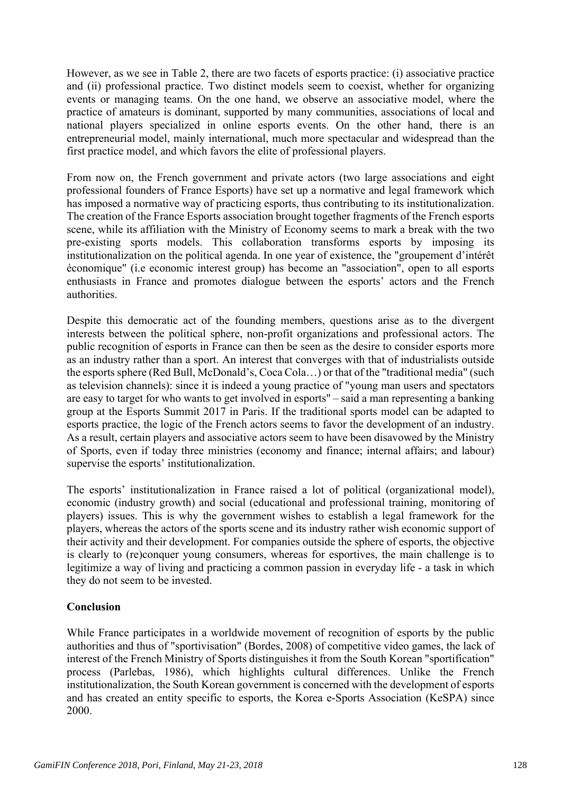However, as we see in Table 2, there are two facets of esports practice: (i) associative practice and (ii) professional practice. Two distinct models seem to coexist, whether for organizing events or managing teams. On the one hand, we observe an associative model, where the practice of amateurs is dominant, supported by many communities, associations of local and national players specialized in online esports events. On the other hand, there is an entrepreneurial model, mainly international, much more spectacular and widespread than the first practice model, and which favors the elite of professional players.

From now on, the French government and private actors (two large associations and eight professional founders of France Esports) have set up a normative and legal framework which has imposed a normative way of practicing esports, thus contributing to its institutionalization. The creation of the France Esports association brought together fragments of the French esports scene, while its affiliation with the Ministry of Economy seems to mark a break with the two pre-existing sports models. This collaboration transforms esports by imposing its institutionalization on the political agenda. In one year of existence, the "groupement d'intérêt économique" (i.e economic interest group) has become an "association", open to all esports enthusiasts in France and promotes dialogue between the esports' actors and the French authorities.

Despite this democratic act of the founding members, questions arise as to the divergent interests between the political sphere, non-profit organizations and professional actors. The public recognition of esports in France can then be seen as the desire to consider esports more as an industry rather than a sport. An interest that converges with that of industrialists outside the esports sphere (Red Bull, McDonald's, Coca Cola…) or that of the "traditional media" (such as television channels): since it is indeed a young practice of "young man users and spectators are easy to target for who wants to get involved in esports" – said a man representing a banking group at the Esports Summit 2017 in Paris. If the traditional sports model can be adapted to esports practice, the logic of the French actors seems to favor the development of an industry. As a result, certain players and associative actors seem to have been disavowed by the Ministry of Sports, even if today three ministries (economy and finance; internal affairs; and labour) supervise the esports' institutionalization.

The esports' institutionalization in France raised a lot of political (organizational model), economic (industry growth) and social (educational and professional training, monitoring of players) issues. This is why the government wishes to establish a legal framework for the players, whereas the actors of the sports scene and its industry rather wish economic support of their activity and their development. For companies outside the sphere of esports, the objective is clearly to (re)conquer young consumers, whereas for esportives, the main challenge is to legitimize a way of living and practicing a common passion in everyday life - a task in which they do not seem to be invested.

# **Conclusion**

While France participates in a worldwide movement of recognition of esports by the public authorities and thus of "sportivisation" (Bordes, 2008) of competitive video games, the lack of interest of the French Ministry of Sports distinguishes it from the South Korean "sportification" process (Parlebas, 1986), which highlights cultural differences. Unlike the French institutionalization, the South Korean government is concerned with the development of esports and has created an entity specific to esports, the Korea e-Sports Association (KeSPA) since 2000.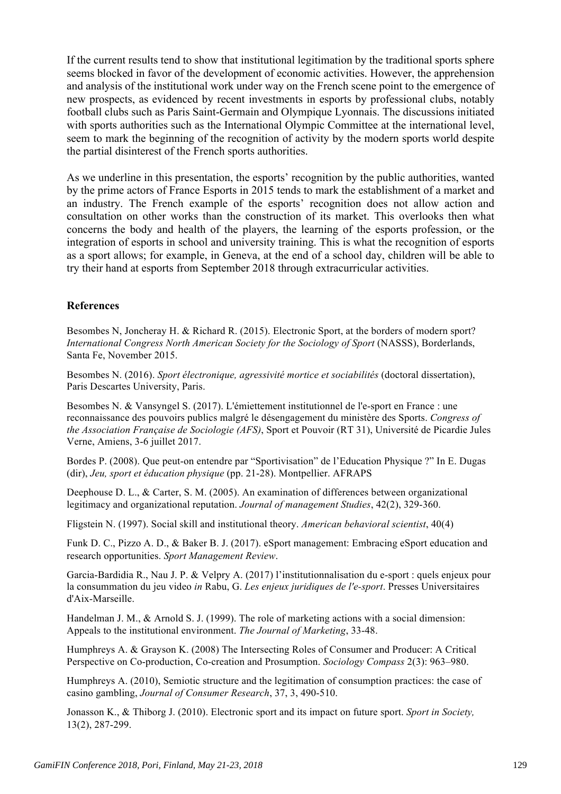If the current results tend to show that institutional legitimation by the traditional sports sphere seems blocked in favor of the development of economic activities. However, the apprehension and analysis of the institutional work under way on the French scene point to the emergence of new prospects, as evidenced by recent investments in esports by professional clubs, notably football clubs such as Paris Saint-Germain and Olympique Lyonnais. The discussions initiated with sports authorities such as the International Olympic Committee at the international level, seem to mark the beginning of the recognition of activity by the modern sports world despite the partial disinterest of the French sports authorities.

As we underline in this presentation, the esports' recognition by the public authorities, wanted by the prime actors of France Esports in 2015 tends to mark the establishment of a market and an industry. The French example of the esports' recognition does not allow action and consultation on other works than the construction of its market. This overlooks then what concerns the body and health of the players, the learning of the esports profession, or the integration of esports in school and university training. This is what the recognition of esports as a sport allows; for example, in Geneva, at the end of a school day, children will be able to try their hand at esports from September 2018 through extracurricular activities.

# **References**

Besombes N, Joncheray H. & Richard R. (2015). Electronic Sport, at the borders of modern sport? *International Congress North American Society for the Sociology of Sport* (NASSS), Borderlands, Santa Fe, November 2015.

Besombes N. (2016). *Sport électronique, agressivité mortice et sociabilités* (doctoral dissertation), Paris Descartes University, Paris.

Besombes N. & Vansyngel S. (2017). L'émiettement institutionnel de l'e-sport en France : une reconnaissance des pouvoirs publics malgré le désengagement du ministère des Sports. *Congress of the Association Française de Sociologie (AFS)*, Sport et Pouvoir (RT 31), Université de Picardie Jules Verne, Amiens, 3-6 juillet 2017.

Bordes P. (2008). Que peut-on entendre par "Sportivisation" de l'Education Physique ?" In E. Dugas (dir), *Jeu, sport et éducation physique* (pp. 21-28). Montpellier. AFRAPS

Deephouse D. L., & Carter, S. M. (2005). An examination of differences between organizational legitimacy and organizational reputation. *Journal of management Studies*, 42(2), 329-360.

Fligstein N. (1997). Social skill and institutional theory. *American behavioral scientist*, 40(4)

Funk D. C., Pizzo A. D., & Baker B. J. (2017). eSport management: Embracing eSport education and research opportunities. *Sport Management Review*.

Garcia-Bardidia R., Nau J. P. & Velpry A. (2017) l'institutionnalisation du e-sport : quels enjeux pour la consummation du jeu video *in* Rabu, G. *Les enjeux juridiques de l'e-sport*. Presses Universitaires d'Aix-Marseille.

Handelman J. M., & Arnold S. J. (1999). The role of marketing actions with a social dimension: Appeals to the institutional environment. *The Journal of Marketing*, 33-48.

Humphreys A. & Grayson K. (2008) The Intersecting Roles of Consumer and Producer: A Critical Perspective on Co-production, Co-creation and Prosumption. *Sociology Compass* 2(3): 963–980.

Humphreys A. (2010), Semiotic structure and the legitimation of consumption practices: the case of casino gambling, *Journal of Consumer Research*, 37, 3, 490-510.

Jonasson K., & Thiborg J. (2010). Electronic sport and its impact on future sport. *Sport in Society,* 13(2), 287-299.